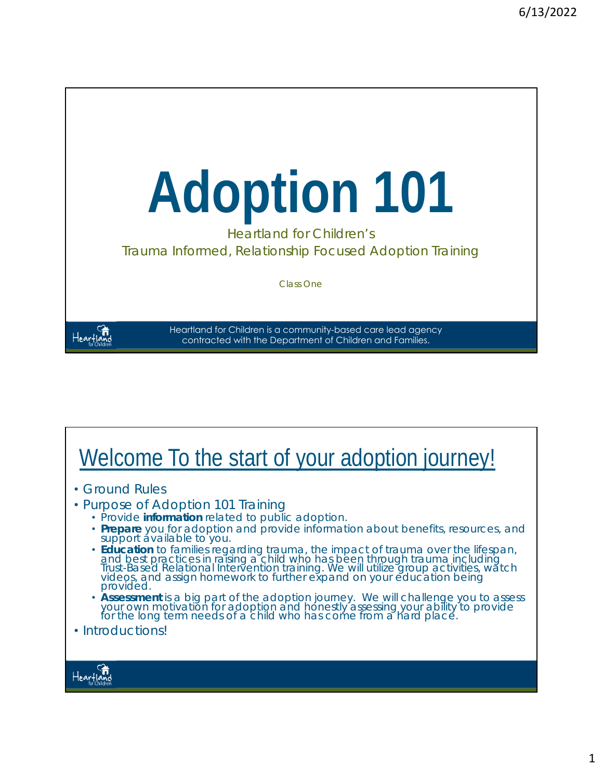

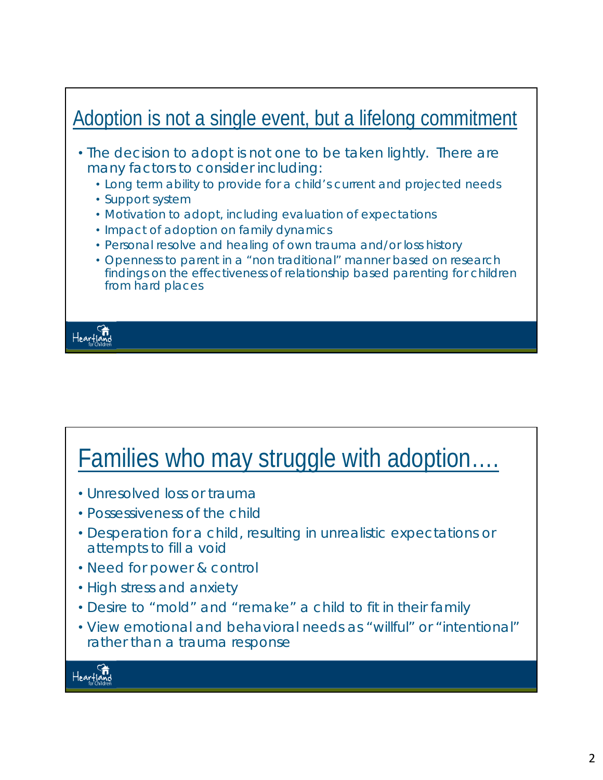

### Families who may struggle with adoption….

- Unresolved loss or trauma
- Possessiveness of the child
- Desperation for a child, resulting in unrealistic expectations or attempts to fill a void
- Need for power & control
- High stress and anxiety
- Desire to "mold" and "remake" a child to fit in their family
- View emotional and behavioral needs as "willful" or "intentional" rather than a trauma response

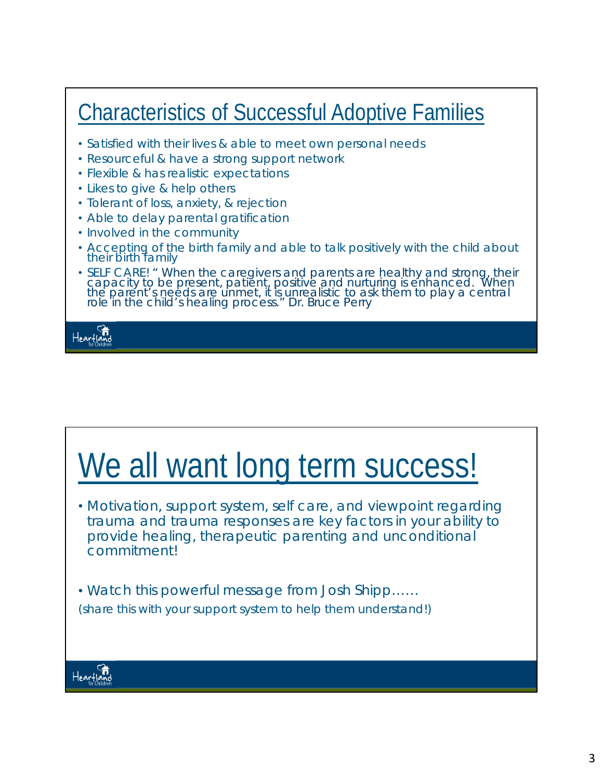#### Characteristics of Successful Adoptive Families • Satisfied with their lives & able to meet own personal needs • Resourceful & have a strong support network • Flexible & has realistic expectations • Likes to give & help others • Tolerant of loss, anxiety, & rejection • Able to delay parental gratification • Involved in the community • Accepting of the birth family and able to talk positively with the child about their birth family • SELF CARE! *" When the caregivers and parents are healthy and strong, their capacity to be present, patient, positive and nurturing is enhanced. When the parent's needs are unmet, it is unrealistic to ask them to play a central role in the child's healing process." Dr. Bruce Perry*  Heartia

## We all want long term success!

• Motivation, support system, self care, and viewpoint regarding trauma and trauma responses are key factors in your ability to provide healing, therapeutic parenting and unconditional commitment!

• Watch this powerful message from Josh Shipp…… *(share this with your support system to help them understand!)*

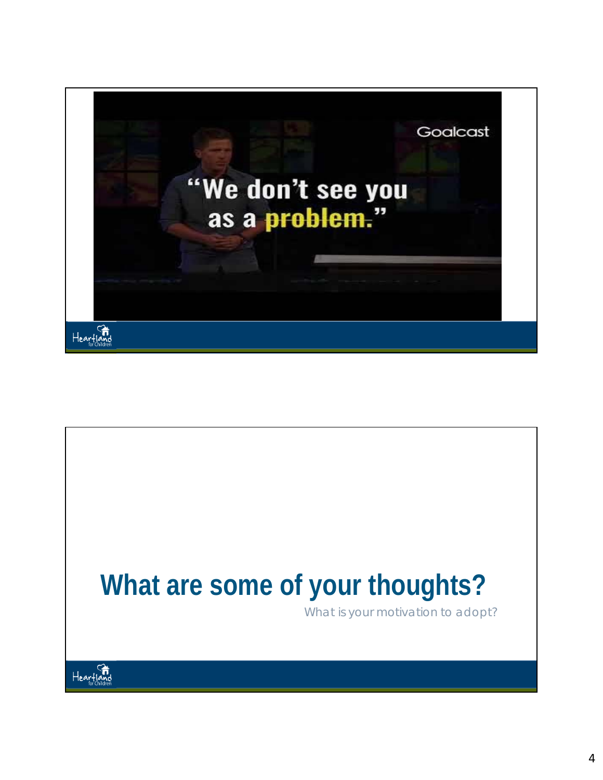

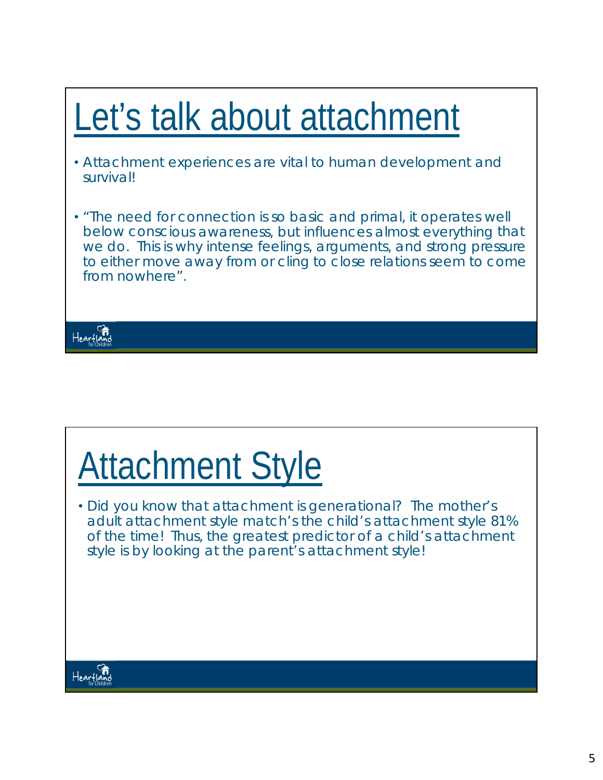#### Let's talk about attachment • Attachment experiences are vital to human development and survival! • "The need for connection is so basic and primal, it operates well below conscious awareness, but influences almost everything that we do. This is why intense feelings, arguments, and strong pressure to either move away from or cling to close relations seem to come from nowhere". Heartland

# Attachment Style

• Did you know that attachment is generational? The mother's adult attachment style match's the child's attachment style 81% of the time! *Thus, the greatest predictor of a child's attachment style is by looking at the parent's attachment style!*

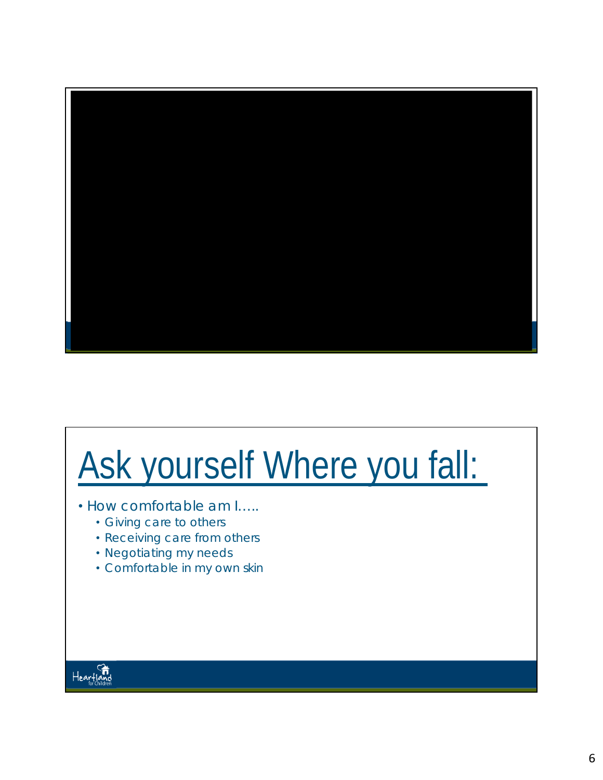

# Ask yourself Where you fall:

- How comfortable am I…..
	- Giving care to others
	- Receiving care from others
	- Negotiating my needs
	- Comfortable in my own skin

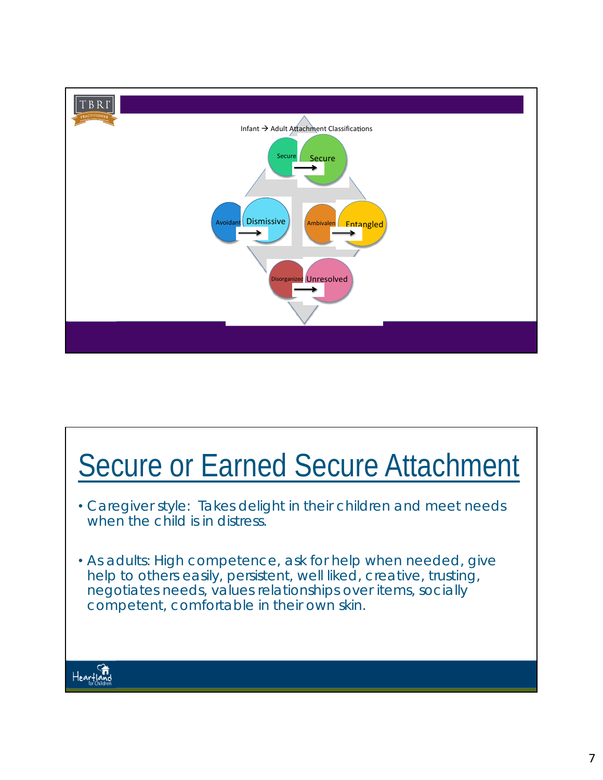

## **Secure or Earned Secure Attachment**

- Caregiver style: Takes delight in their children and meet needs when the child is in distress.
- As adults: High competence, ask for help when needed, give help to others easily, persistent, well liked, creative, trusting, negotiates needs, values relationships over items, socially competent, comfortable in their own skin.

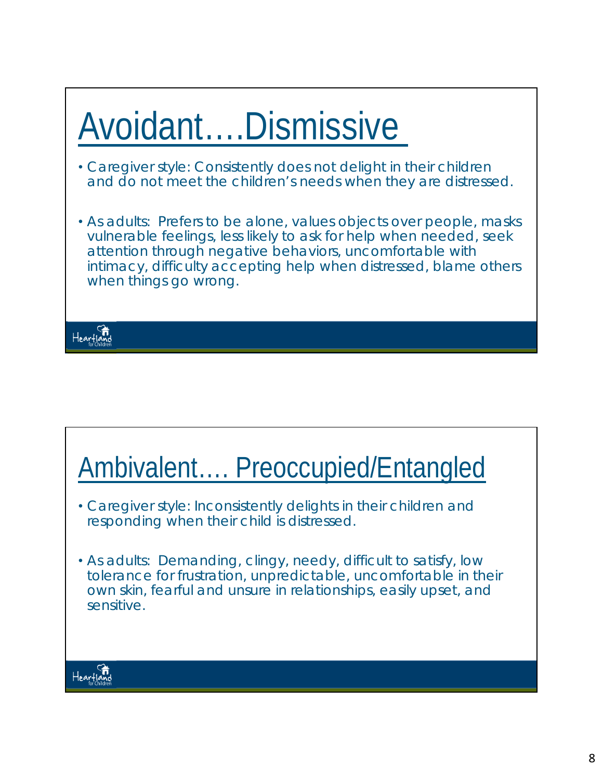# Avoidant….Dismissive

- Caregiver style: Consistently does not delight in their children and do not meet the children's needs when they are distressed.
- As adults: Prefers to be alone, values objects over people, masks vulnerable feelings, less likely to ask for help when needed, seek attention through negative behaviors, uncomfortable with intimacy, difficulty accepting help when distressed, blame others when things go wrong.



## Ambivalent…. Preoccupied/Entangled

- Caregiver style: Inconsistently delights in their children and responding when their child is distressed.
- As adults: Demanding, clingy, needy, difficult to satisfy, low tolerance for frustration, unpredictable, uncomfortable in their own skin, fearful and unsure in relationships, easily upset, and sensitive.

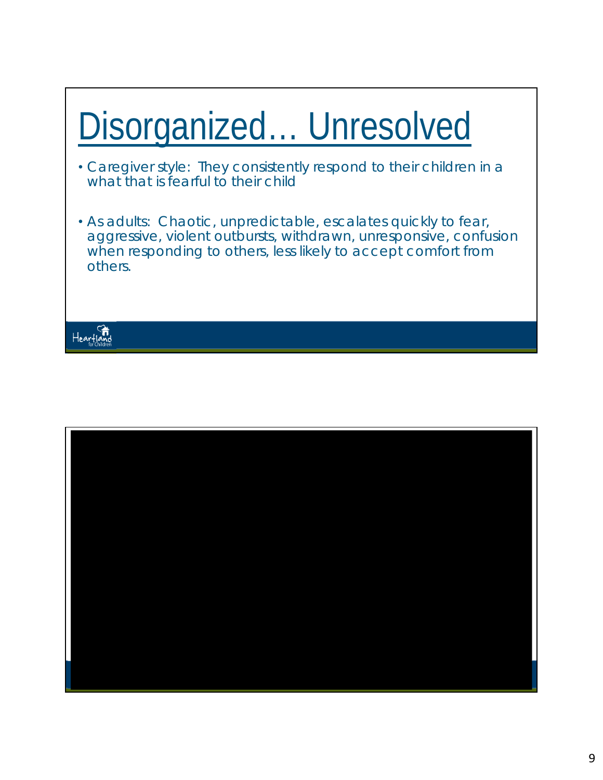# Disorganized… Unresolved

- Caregiver style: They consistently respond to their children in a what that is fearful to their child
- As adults: Chaotic, unpredictable, escalates quickly to fear, aggressive, violent outbursts, withdrawn, unresponsive, confusion when responding to others, less likely to accept comfort from others.



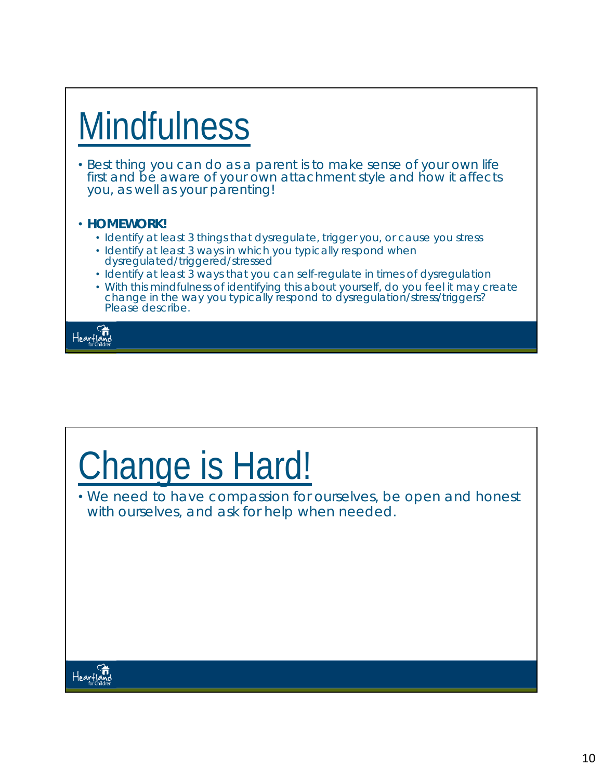# **Mindfulness**

• Best thing you can do as a parent is to make sense of your own life first and be aware of your own attachment style and how it affects you, as well as your parenting!

#### • **HOMEWORK!**

- *Identify at least 3 things that dysregulate, trigger you, or cause you stress*
- *Identify at least 3 ways in which you typically respond when dysregulated/triggered/stressed*
- *Identify at least 3 ways that you can self-regulate in times of dysregulation*
- *With this mindfulness of identifying this about yourself, do you feel it may create change in the way you typically respond to dysregulation/stress/triggers? Please describe.*

Heartland

# Change is Hard!

• We need to have compassion for ourselves, be open and honest with ourselves, and ask for help when needed.